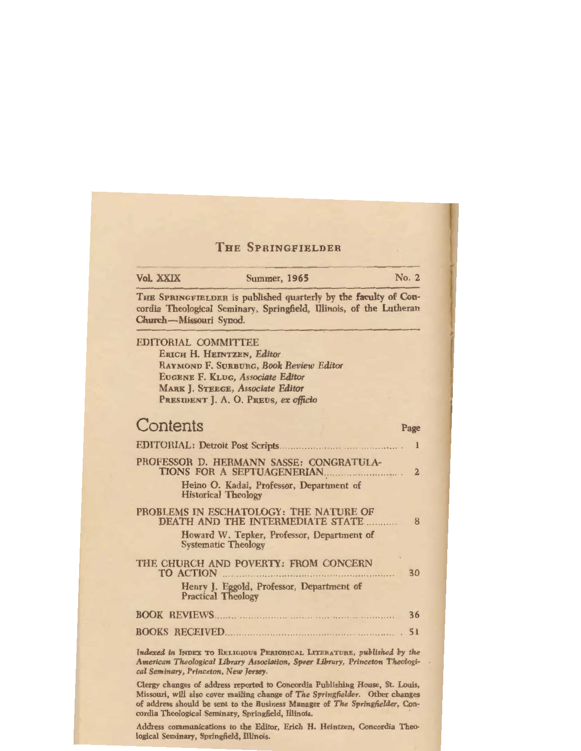## THE SPRINGFIELDER

| Vol. XXIX                  | <b>Summer, 1965</b>                                                                                                                                                                 | No. 2          |
|----------------------------|-------------------------------------------------------------------------------------------------------------------------------------------------------------------------------------|----------------|
| Church-Missouri Synod.     | THE SPRINGFIELDER is published quarterly by the faculty of Con-<br>cordia Theological Seminary, Springfield, Illinois, of the Lutheran                                              |                |
| <b>EDITORIAL COMMITTEE</b> | ERICH H. HEINTZEN, Editor<br>RAYMOND F. SURBURG, Book Review Editor<br>EUGENE F. KLUG, Associate Editor<br>MARK J. STEEGE, Associate Editor<br>PRESIDENT J. A. O. PREUS, ex officio |                |
| Contents                   |                                                                                                                                                                                     | Page           |
|                            |                                                                                                                                                                                     | 1              |
|                            | PROFESSOR D. HERMANN SASSE: CONGRATULA-<br>TIONS FOR A SEPTUAGENERIAN<br>Heino O. Kadai, Professor, Department of                                                                   | $\overline{2}$ |
|                            | <b>Historical Theology</b>                                                                                                                                                          |                |
|                            | PROBLEMS IN ESCHATOLOGY: THE NATURE OF<br>DEATH AND THE INTERMEDIATE STATE                                                                                                          | 8              |
|                            | Howard W. Tepker, Professor, Department of<br><b>Systematic Theology</b>                                                                                                            |                |
| <b>TO ACTION</b>           | THE CHURCH AND POVERTY: FROM CONCERN                                                                                                                                                | 30             |
|                            | Henry J. Eggold, Professor, Department of<br><b>Practical Theology</b>                                                                                                              |                |
|                            |                                                                                                                                                                                     | 36             |
|                            | <b>BOOKS RECEIVED</b>                                                                                                                                                               | 51             |
|                            | Indexed in INDEX TO RELIGIOUS PERIODICAL LITERATURE, published by the                                                                                                               |                |

*Amerlcan Theological Library Associatlon, Speer Library, Princeton Theological Seminary, Princeton, New Jersey.* 

Clergy changes of address reported to Concordia Publishing House, St. Louis, Missouri, will also cover mailing change of *The Springfielder.* Other changes of address should be sent to the Business Manager of *The Springfielder,* Concordia Theological Seminary, Springfield, Illinois.

Address communications to the Editor, Erich H. Heintzen, Concordia Theological Seminary, Springfield, Illinois.